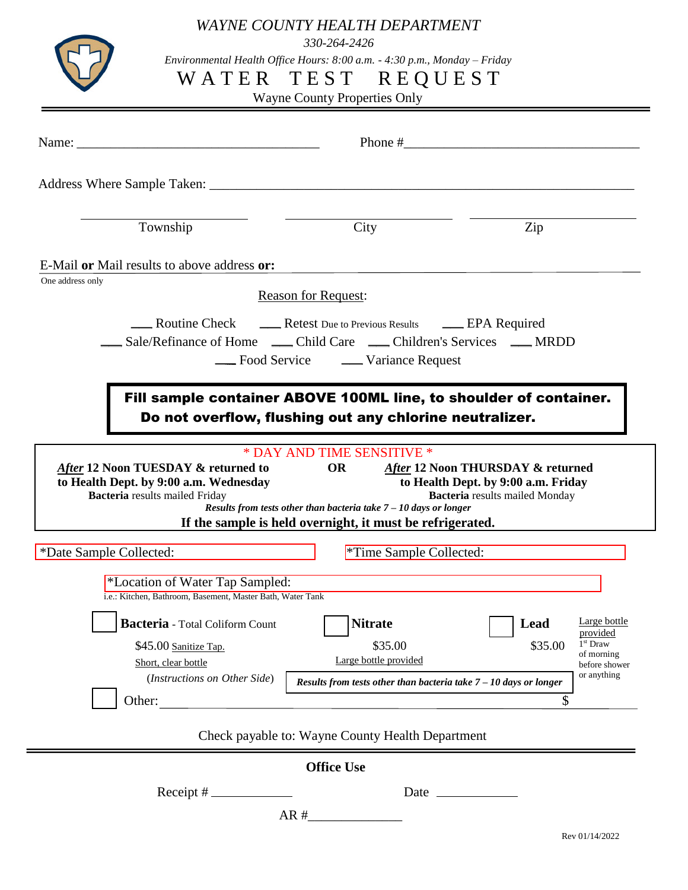*WAYNE COUNTY HEALTH DEPARTMENT*

*330-264-2426*

*Environmental Health Office Hours: 8:00 a.m. - 4:30 p.m., Monday – Friday*

WATER TEST REQUEST

Wayne County Properties Only

| Township                                                                                                                                   | City                                                                                                                                                                                                                                          | Zip                                                                                                           |
|--------------------------------------------------------------------------------------------------------------------------------------------|-----------------------------------------------------------------------------------------------------------------------------------------------------------------------------------------------------------------------------------------------|---------------------------------------------------------------------------------------------------------------|
| E-Mail or Mail results to above address or:                                                                                                |                                                                                                                                                                                                                                               |                                                                                                               |
| One address only                                                                                                                           | <b>Reason for Request:</b>                                                                                                                                                                                                                    |                                                                                                               |
|                                                                                                                                            | <b>EPA Required</b> Routine Check <b>Legal Check</b> Due to Previous Results <b>Legal Check</b> Due to Previous Results<br>__ Sale/Refinance of Home __ Child Care __ Children's Services __ MRDD<br>__ Food Service _______ Variance Request |                                                                                                               |
|                                                                                                                                            | Fill sample container ABOVE 100ML line, to shoulder of container.<br>Do not overflow, flushing out any chlorine neutralizer.                                                                                                                  |                                                                                                               |
|                                                                                                                                            | * DAY AND TIME SENSITIVE *                                                                                                                                                                                                                    |                                                                                                               |
| After 12 Noon TUESDAY & returned to<br>to Health Dept. by 9:00 a.m. Wednesday<br>Bacteria results mailed Friday<br>*Date Sample Collected: | Results from tests other than bacteria take $7-10$ days or longer<br>If the sample is held overnight, it must be refrigerated.<br><sup>*</sup> Time Sample Collected:                                                                         | OR After 12 Noon THURSDAY & returned<br>to Health Dept. by 9:00 a.m. Friday<br>Bacteria results mailed Monday |
|                                                                                                                                            |                                                                                                                                                                                                                                               |                                                                                                               |
| *Location of Water Tap Sampled:<br>i.e.: Kitchen, Bathroom, Basement, Master Bath, Water Tank                                              |                                                                                                                                                                                                                                               |                                                                                                               |
| Bacteria - Total Coliform Count<br>\$45.00 Sanitize Tap.                                                                                   | <b>Nitrate</b><br>\$35.00                                                                                                                                                                                                                     | Lead Large bottle<br>provided<br>$1st$ Draw<br>\$35.00<br>of morning                                          |
| Short, clear bottle<br>(Instructions on Other Side)                                                                                        | Large bottle provided<br>Results from tests other than bacteria take $7 - 10$ days or longer                                                                                                                                                  | before shower<br>or anything                                                                                  |
| Other:                                                                                                                                     |                                                                                                                                                                                                                                               | \$                                                                                                            |
|                                                                                                                                            |                                                                                                                                                                                                                                               |                                                                                                               |
|                                                                                                                                            |                                                                                                                                                                                                                                               |                                                                                                               |
|                                                                                                                                            | Check payable to: Wayne County Health Department                                                                                                                                                                                              |                                                                                                               |
|                                                                                                                                            | <b>Office Use</b>                                                                                                                                                                                                                             |                                                                                                               |
| $\text{Receipt}$ # $\_\_\_\_\_\_\_\_\_\_\_\_\_\_\_\_\_\_\_\_\_\_\_\_\_\_\_\_\_\_\_$                                                        |                                                                                                                                                                                                                                               |                                                                                                               |
|                                                                                                                                            |                                                                                                                                                                                                                                               |                                                                                                               |